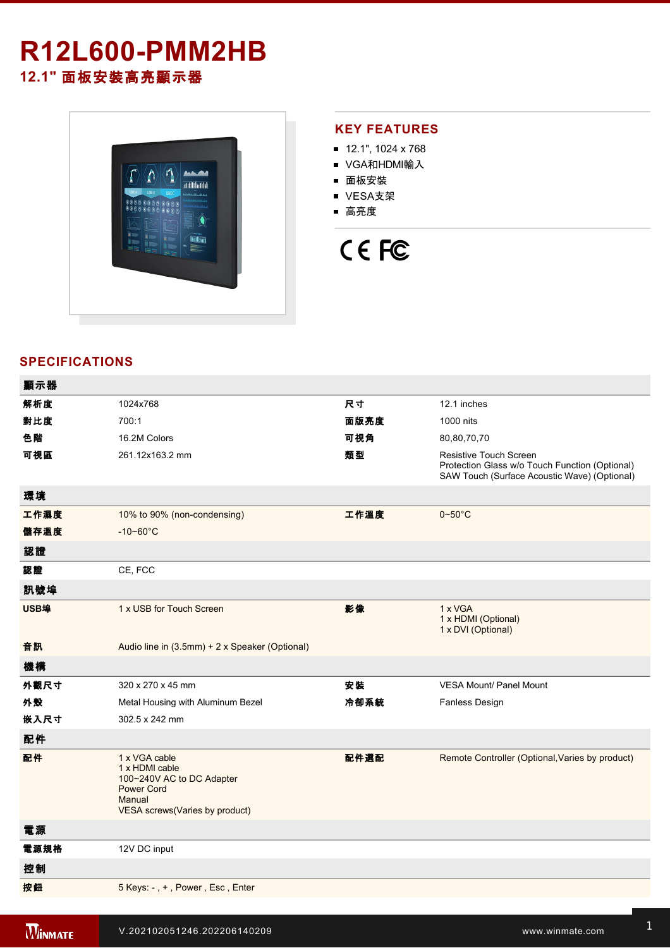## **R12L600-PMM2HB 12.1"** 面板安裝高亮顯示器



#### **KEY FEATURES**

- 12.1", 1024 x 768
- VGA和HDMI輸入
- 面板安裝
- VESA支架
- 高亮度

# CE FC

### **SPECIFICATIONS**

| 顯示器  |                                                                                                                               |      |                                                                                                                          |
|------|-------------------------------------------------------------------------------------------------------------------------------|------|--------------------------------------------------------------------------------------------------------------------------|
| 解析度  | 1024x768                                                                                                                      | 尺寸   | 12.1 inches                                                                                                              |
| 對比度  | 700:1                                                                                                                         | 面版亮度 | 1000 nits                                                                                                                |
| 色階   | 16.2M Colors                                                                                                                  | 可視角  | 80,80,70,70                                                                                                              |
| 可視區  | 261.12x163.2 mm                                                                                                               | 類型   | Resistive Touch Screen<br>Protection Glass w/o Touch Function (Optional)<br>SAW Touch (Surface Acoustic Wave) (Optional) |
| 環境   |                                                                                                                               |      |                                                                                                                          |
| 工作濕度 | 10% to 90% (non-condensing)                                                                                                   | 工作溫度 | $0\negthinspace\negthinspace\negthinspace 50^{\circ}\mathrm{C}$                                                          |
| 儲存溫度 | $-10 - 60^{\circ}C$                                                                                                           |      |                                                                                                                          |
| 認證   |                                                                                                                               |      |                                                                                                                          |
| 認證   | CE, FCC                                                                                                                       |      |                                                                                                                          |
| 訊號埠  |                                                                                                                               |      |                                                                                                                          |
| USB埠 | 1 x USB for Touch Screen                                                                                                      | 影像   | 1 x VGA<br>1 x HDMI (Optional)<br>1 x DVI (Optional)                                                                     |
| 音訊   | Audio line in (3.5mm) + 2 x Speaker (Optional)                                                                                |      |                                                                                                                          |
| 機構   |                                                                                                                               |      |                                                                                                                          |
| 外觀尺寸 | 320 x 270 x 45 mm                                                                                                             | 安裝   | <b>VESA Mount/ Panel Mount</b>                                                                                           |
| 外殼   | Metal Housing with Aluminum Bezel                                                                                             | 冷卻系統 | <b>Fanless Design</b>                                                                                                    |
| 嵌入尺寸 | 302.5 x 242 mm                                                                                                                |      |                                                                                                                          |
| 配件   |                                                                                                                               |      |                                                                                                                          |
| 配件   | 1 x VGA cable<br>1 x HDMI cable<br>100~240V AC to DC Adapter<br><b>Power Cord</b><br>Manual<br>VESA screws(Varies by product) | 配件選配 | Remote Controller (Optional, Varies by product)                                                                          |
| 電源   |                                                                                                                               |      |                                                                                                                          |
| 電源規格 | 12V DC input                                                                                                                  |      |                                                                                                                          |
| 控制   |                                                                                                                               |      |                                                                                                                          |
| 按鈕   | 5 Keys: -, +, Power, Esc, Enter                                                                                               |      |                                                                                                                          |
|      |                                                                                                                               |      |                                                                                                                          |

**Windows 2008 PMM2HB**